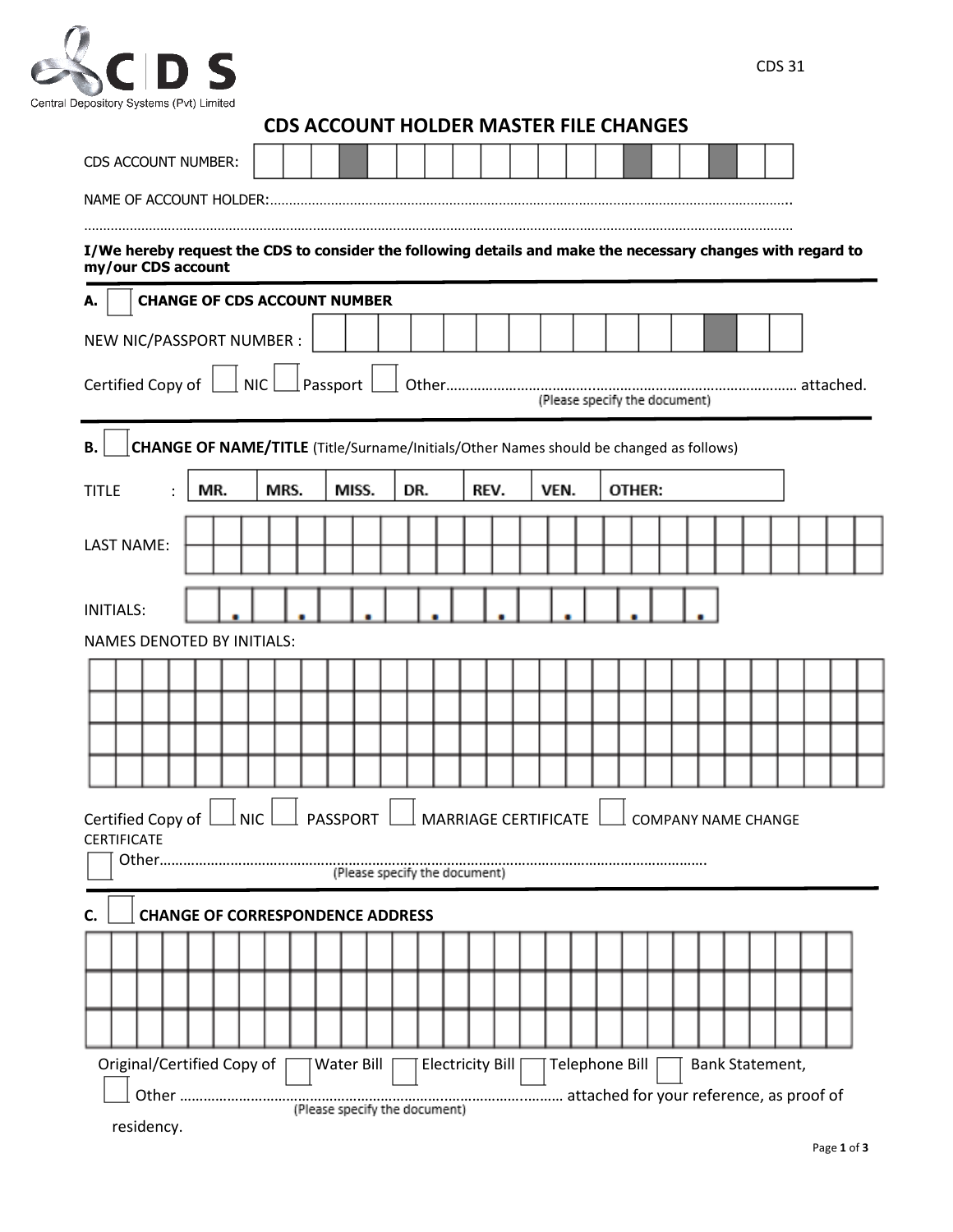

| <b>CDS ACCOUNT HOLDER MASTER FILE CHANGES</b> |  |  |  |  |
|-----------------------------------------------|--|--|--|--|
|-----------------------------------------------|--|--|--|--|

| CDS ACCOUNT NUMBER:                                                                                                                      |                               |      |                                         |     |                  |      |                                                                                               |                 |  |  |
|------------------------------------------------------------------------------------------------------------------------------------------|-------------------------------|------|-----------------------------------------|-----|------------------|------|-----------------------------------------------------------------------------------------------|-----------------|--|--|
| NAME OF ACCOUNT HOLDER:                                                                                                                  |                               |      |                                         |     |                  |      |                                                                                               |                 |  |  |
| I/We hereby request the CDS to consider the following details and make the necessary changes with regard to<br>my/our CDS account        |                               |      |                                         |     |                  |      |                                                                                               |                 |  |  |
| А.                                                                                                                                       |                               |      | <b>CHANGE OF CDS ACCOUNT NUMBER</b>     |     |                  |      |                                                                                               |                 |  |  |
| NEW NIC/PASSPORT NUMBER :                                                                                                                |                               |      |                                         |     |                  |      |                                                                                               |                 |  |  |
| NIC<br>Passport<br>Certified Copy of<br>(Please specify the document)                                                                    |                               |      |                                         |     |                  |      |                                                                                               |                 |  |  |
| <b>B.</b>                                                                                                                                |                               |      |                                         |     |                  |      | <b>CHANGE OF NAME/TITLE</b> (Title/Surname/Initials/Other Names should be changed as follows) |                 |  |  |
| <b>TITLE</b>                                                                                                                             | MR.                           | MRS. | MISS.                                   | DR. | REV.             | VEN. | OTHER:                                                                                        |                 |  |  |
| <b>LAST NAME:</b>                                                                                                                        |                               |      |                                         |     |                  |      |                                                                                               |                 |  |  |
|                                                                                                                                          |                               |      |                                         |     |                  |      |                                                                                               |                 |  |  |
| <b>INITIALS:</b>                                                                                                                         |                               |      |                                         |     |                  |      |                                                                                               |                 |  |  |
| <b>NAMES DENOTED BY INITIALS:</b>                                                                                                        |                               |      |                                         |     |                  |      |                                                                                               |                 |  |  |
|                                                                                                                                          |                               |      |                                         |     |                  |      |                                                                                               |                 |  |  |
|                                                                                                                                          |                               |      |                                         |     |                  |      |                                                                                               |                 |  |  |
|                                                                                                                                          |                               |      |                                         |     |                  |      |                                                                                               |                 |  |  |
|                                                                                                                                          |                               |      |                                         |     |                  |      |                                                                                               |                 |  |  |
| PASSPORT<br>$\perp$ MARRIAGE CERTIFICATE<br>Certified Copy of<br><b>NIC</b><br><b>COMPANY NAME CHANGE</b><br><b>CERTIFICATE</b><br>Other |                               |      |                                         |     |                  |      |                                                                                               |                 |  |  |
| (Please specify the document)                                                                                                            |                               |      |                                         |     |                  |      |                                                                                               |                 |  |  |
|                                                                                                                                          |                               |      | <b>CHANGE OF CORRESPONDENCE ADDRESS</b> |     |                  |      |                                                                                               |                 |  |  |
|                                                                                                                                          |                               |      |                                         |     |                  |      |                                                                                               |                 |  |  |
|                                                                                                                                          |                               |      |                                         |     |                  |      |                                                                                               |                 |  |  |
|                                                                                                                                          |                               |      |                                         |     |                  |      |                                                                                               |                 |  |  |
| Original/Certified Copy of                                                                                                               |                               |      | Water Bill                              |     | Electricity Bill |      | Telephone Bill                                                                                | Bank Statement, |  |  |
|                                                                                                                                          | (Please specify the document) |      |                                         |     |                  |      |                                                                                               |                 |  |  |
| residency.                                                                                                                               |                               |      |                                         |     |                  |      |                                                                                               |                 |  |  |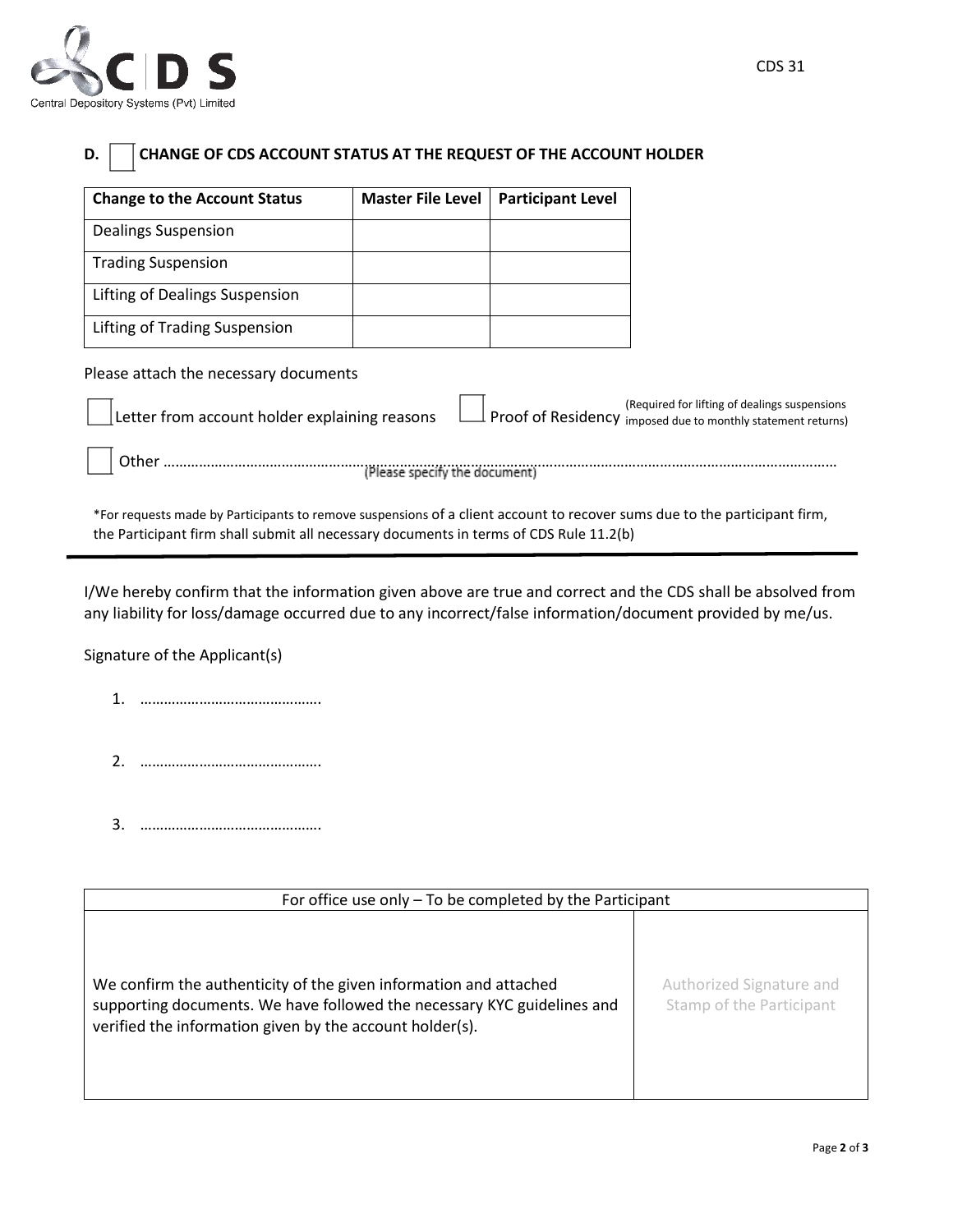

| CHANGE OF CDS ACCOUNT STATUS AT THE REQUEST OF THE ACCOUNT HOLDER<br>D.                                                                                                                                             |                               |                          |                                                                                                               |
|---------------------------------------------------------------------------------------------------------------------------------------------------------------------------------------------------------------------|-------------------------------|--------------------------|---------------------------------------------------------------------------------------------------------------|
| <b>Change to the Account Status</b>                                                                                                                                                                                 | <b>Master File Level</b>      | <b>Participant Level</b> |                                                                                                               |
| Dealings Suspension                                                                                                                                                                                                 |                               |                          |                                                                                                               |
| <b>Trading Suspension</b>                                                                                                                                                                                           |                               |                          |                                                                                                               |
| Lifting of Dealings Suspension                                                                                                                                                                                      |                               |                          |                                                                                                               |
| Lifting of Trading Suspension                                                                                                                                                                                       |                               |                          |                                                                                                               |
| Please attach the necessary documents                                                                                                                                                                               |                               |                          |                                                                                                               |
| Letter from account holder explaining reasons                                                                                                                                                                       |                               |                          | (Required for lifting of dealings suspensions<br>Proof of Residency imposed due to monthly statement returns) |
| Other                                                                                                                                                                                                               | (Please specify the document) |                          |                                                                                                               |
| *For requests made by Participants to remove suspensions of a client account to recover sums due to the participant firm,<br>the Participant firm shall submit all necessary documents in terms of CDS Rule 11.2(b) |                               |                          |                                                                                                               |

I/We hereby confirm that the information given above are true and correct and the CDS shall be absolved from any liability for loss/damage occurred due to any incorrect/false information/document provided by me/us.

Signature of the Applicant(s)

Ě.

- 1. ……………………………………….
- 2. ……………………………………….
- 3. ……………………………………….

| For office use only $-$ To be completed by the Participant                                                                                                                                               |                                                      |  |  |  |
|----------------------------------------------------------------------------------------------------------------------------------------------------------------------------------------------------------|------------------------------------------------------|--|--|--|
| We confirm the authenticity of the given information and attached<br>supporting documents. We have followed the necessary KYC guidelines and<br>verified the information given by the account holder(s). | Authorized Signature and<br>Stamp of the Participant |  |  |  |